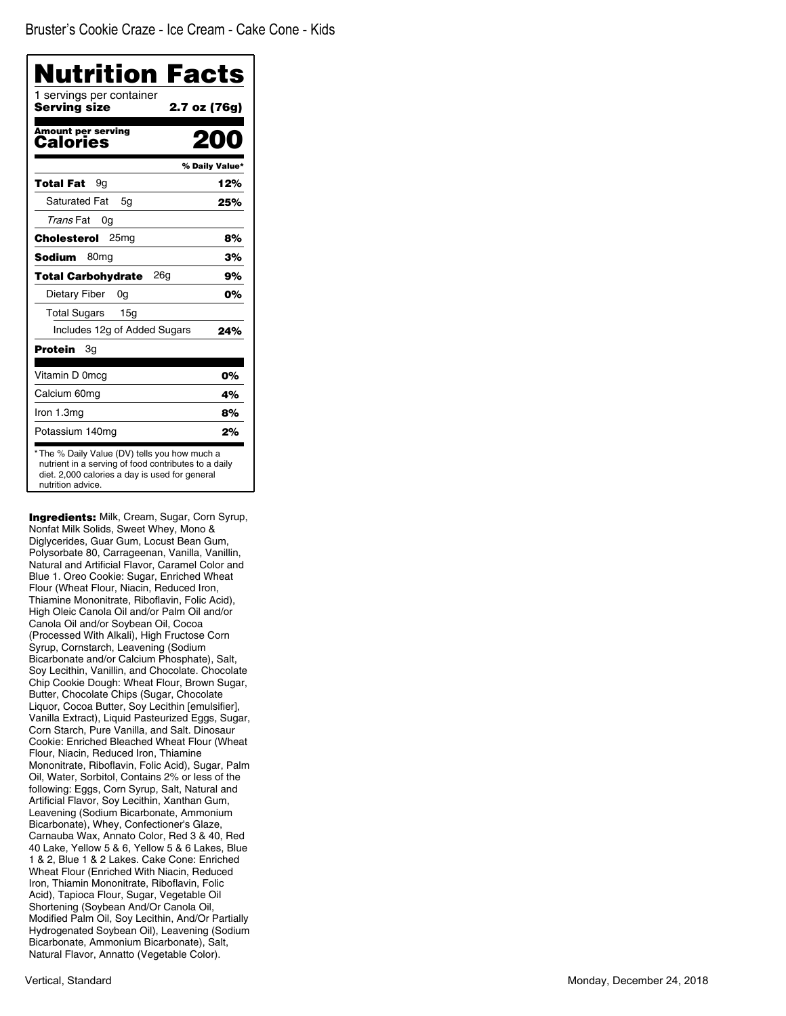| Nutrition Facts<br>1 servings per container<br>Servina size | 2.7 oz (76g)   |
|-------------------------------------------------------------|----------------|
| <b>Amount per serving</b><br>Calories                       | 200            |
|                                                             | % Daily Value* |
| Total Fat<br>9g                                             | 12%            |
| <b>Saturated Fat</b><br>5g                                  | 25%            |
| Trans Fat<br>0g                                             |                |
| 25 <sub>mg</sub><br>Cholesterol                             | 8%             |
| Sodium<br>80 <sub>mq</sub>                                  | 3%             |
| 26a<br><b>Total Carbohydrate</b>                            | 9%             |
| Dietary Fiber<br>0g                                         | 0%             |
| <b>Total Sugars</b><br>15 <sub>q</sub>                      |                |
| Includes 12g of Added Sugars                                | 24%            |
| Зg<br>Protein                                               |                |
| Vitamin D 0mcg                                              | 0%             |
| Calcium 60mg                                                | 4%             |
| Iron 1.3mg                                                  | 8%             |
| Potassium 140mg                                             | 2%             |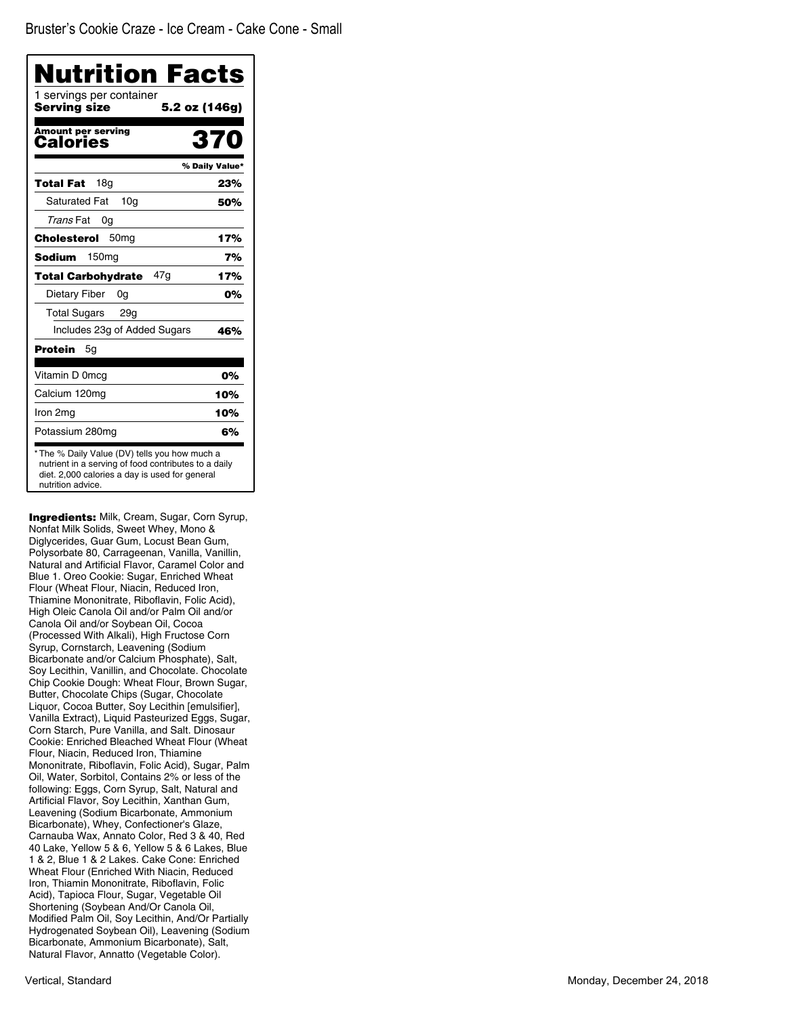| 1 servings per container<br>Servina size | 5.2 oz (146g)  |
|------------------------------------------|----------------|
| <b>Amount per serving</b><br>Calories    | 370            |
|                                          | % Daily Value* |
| 18a<br>Total Fat                         | 23%            |
| <b>Saturated Fat</b><br>10 <sub>a</sub>  | 50%            |
| Trans Fat<br>0g                          |                |
| 50 <sub>mq</sub><br>Cholesterol          | 17%            |
| Sodium<br>150mg                          | 7%             |
| 47q<br><b>Total Carbohydrate</b>         | 17%            |
| Dietary Fiber<br>0g                      | 0%             |
| <b>Total Sugars</b><br>29g               |                |
| Includes 23g of Added Sugars             | 46%            |
| Protein<br>5g                            |                |
| Vitamin D 0mcg                           | 0%             |
| Calcium 120mg                            | 10%            |
| Iron 2mg                                 | 10%            |
| Potassium 280mg                          | 6%             |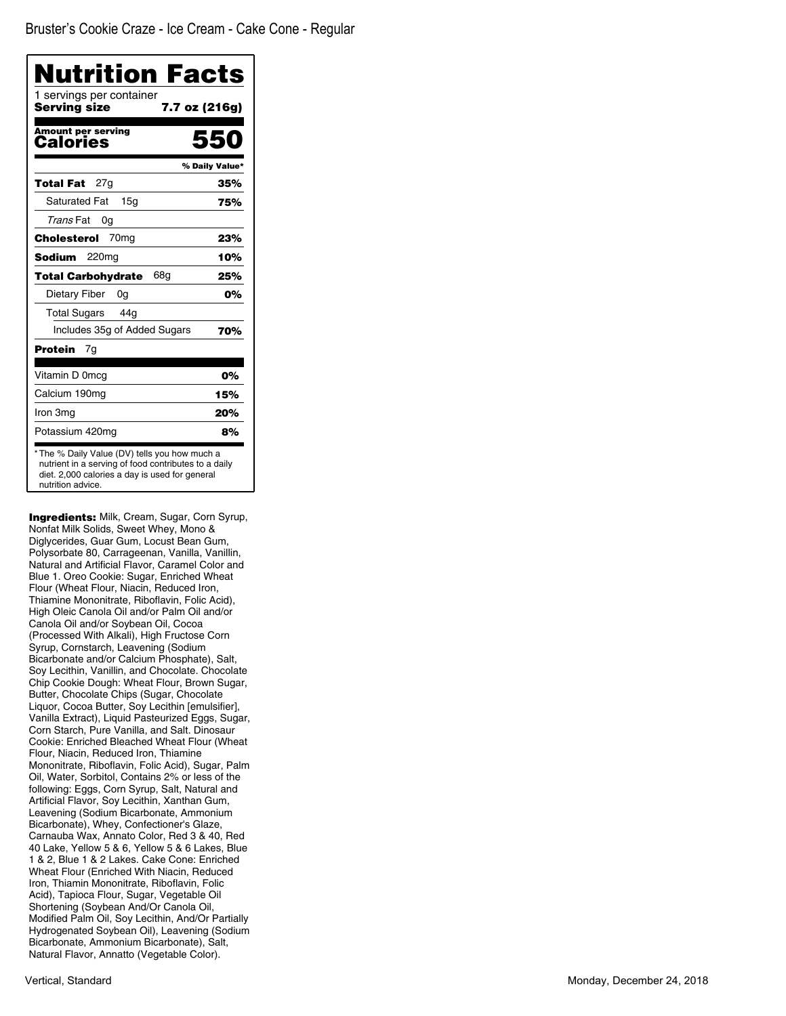| Nutrition Facts<br>1 servings per container<br>Servina size | 7.7 oz (216g)  |
|-------------------------------------------------------------|----------------|
| <b>Amount per serving</b><br>Calories                       | 550            |
|                                                             | % Daily Value* |
| 27g<br>Total Fat                                            | 35%            |
| <b>Saturated Fat</b><br>15 <sub>q</sub>                     | 75%            |
| Trans Fat<br>0g                                             |                |
| 70 <sub>mg</sub><br>Cholesterol                             | 23%            |
| Sodium<br>220 <sub>mg</sub>                                 | 10%            |
| 68g<br><b>Total Carbohydrate</b>                            | 25%            |
| Dietary Fiber<br>0g                                         | 0%             |
| <b>Total Sugars</b><br>44g                                  |                |
| Includes 35g of Added Sugars                                | 70%            |
| Protein<br>7g                                               |                |
| Vitamin D 0mcg                                              | 0%             |
| Calcium 190mg                                               | 15%            |
| Iron 3mg                                                    | 20%            |
| Potassium 420mg                                             | 8%             |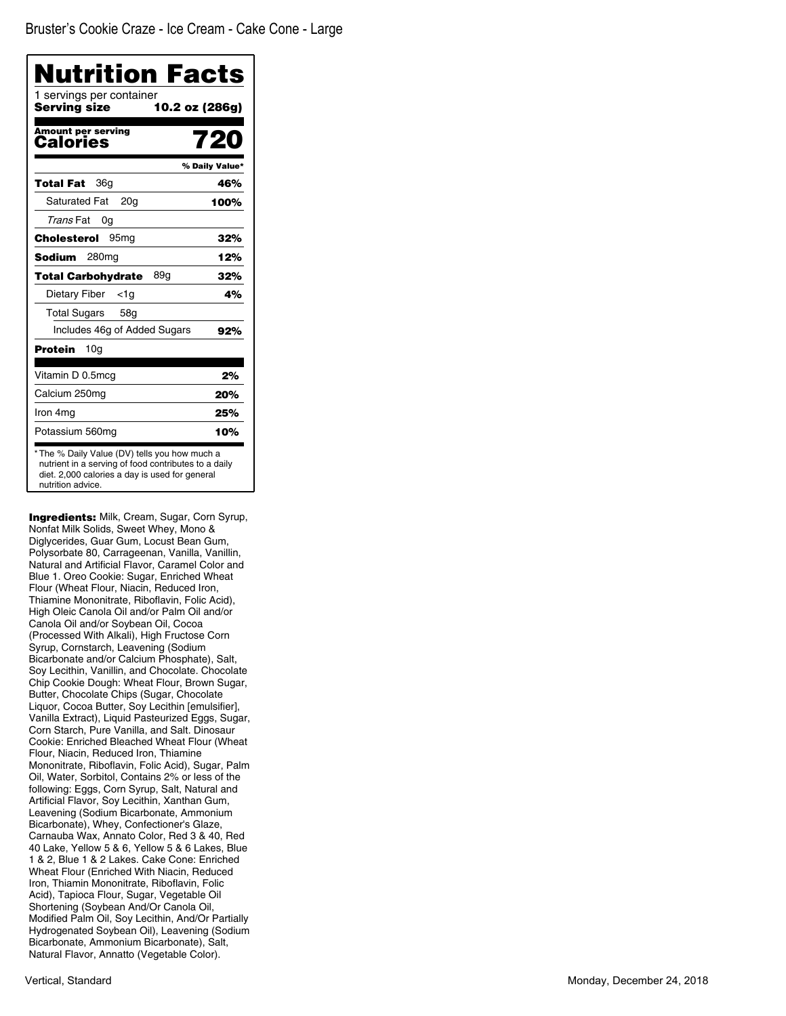| Nutrition Facts<br>1 servings per container<br>Servina size | 10.2 oz (286g) |
|-------------------------------------------------------------|----------------|
| <b>Amount per serving</b><br>Calories                       | 720            |
|                                                             | % Daily Value* |
| 36g<br><b>Total Fat</b>                                     | 46%            |
| <b>Saturated Fat</b><br>20a                                 | 100%           |
| Trans Fat<br>0g                                             |                |
| Cholesterol<br>95 <sub>mg</sub>                             | 32%            |
| Sodium<br>280 <sub>mg</sub>                                 | 12%            |
| <b>Total Carbohydrate</b><br>89g                            | 32%            |
| Dietary Fiber<br>$<$ 1g                                     | 4%             |
| Total Sugars<br>58 <sub>q</sub>                             |                |
| Includes 46g of Added Sugars                                | 92%            |
| Protein<br>10a                                              |                |
| Vitamin D 0.5mcg                                            | 2%             |
| Calcium 250mg                                               | 20%            |
| Iron 4mg                                                    | 25%            |
| Potassium 560mg                                             | 10%            |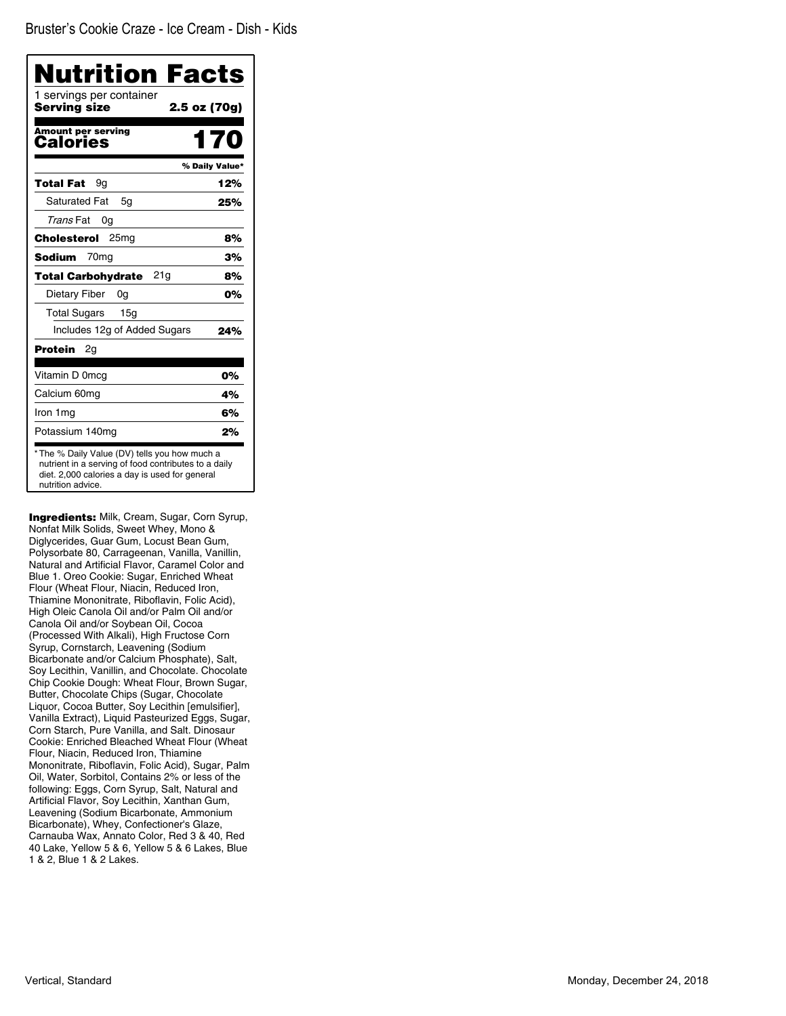Bruster's Cookie Craze - Ice Cream - Dish - Kids

| <b>Nutrition Facts</b><br>1 servings per container<br>Serving size | 2.5 oz (70g)   |
|--------------------------------------------------------------------|----------------|
| <b>Amount per serving</b>                                          |                |
| Calories                                                           | 170            |
|                                                                    | % Daily Value* |
| 9a<br>Total Fat                                                    | 12%            |
| <b>Saturated Fat</b><br>5g                                         | 25%            |
| Trans Fat<br>0g                                                    |                |
| <b>Cholesterol</b> 25mg                                            | 8%             |
| 70 <sub>mg</sub><br><b>Sodium</b>                                  | 3%             |
| 21g<br><b>Total Carbohydrate</b>                                   | 8%             |
| Dietary Fiber<br>0g                                                | 0%             |
| <b>Total Sugars</b><br>15 <sub>q</sub>                             |                |
| Includes 12g of Added Sugars                                       | 24%            |
| Protein<br>2g                                                      |                |
| Vitamin D 0mcg                                                     | 0%             |
| Calcium 60mg                                                       | 4%             |
| Iron 1mg                                                           | 6%             |
| Potassium 140mg                                                    | 2%             |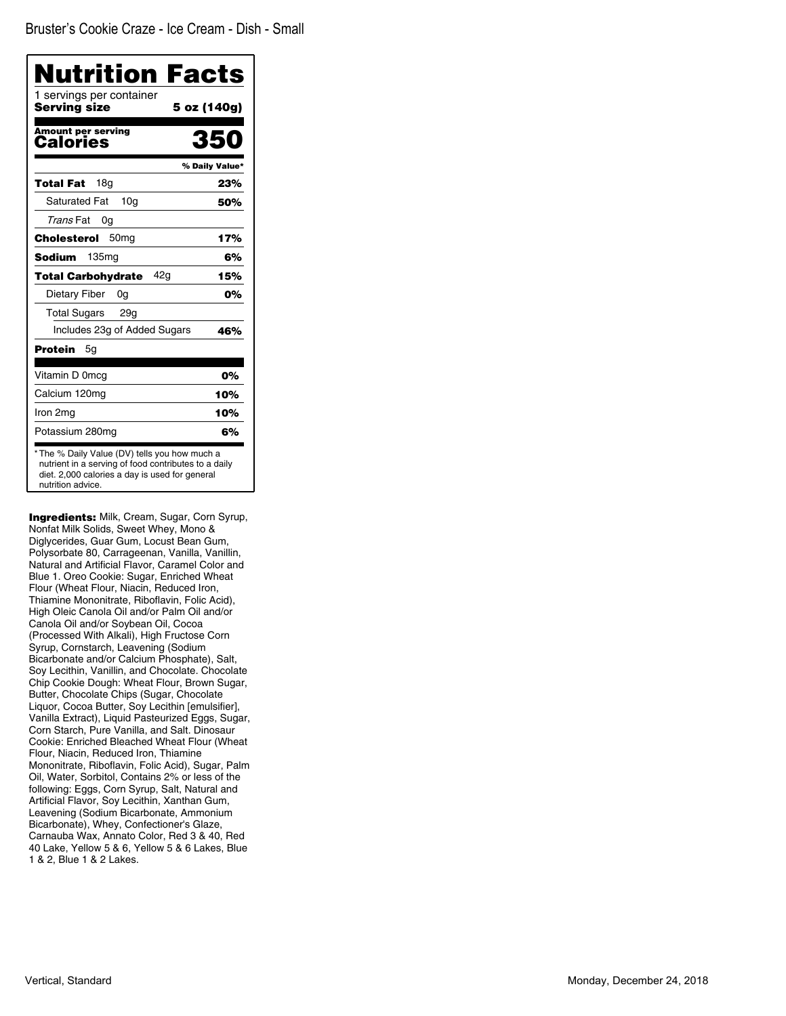| 1 servings per container<br>Servina size | 5 oz (140g)    |
|------------------------------------------|----------------|
| <b>Amount per serving</b><br>Calories    | 350            |
|                                          | % Daily Value* |
| 18a<br>Total Fat                         | 23%            |
| <b>Saturated Fat</b><br>10 <sub>q</sub>  | 50%            |
| Trans Fat<br>0g                          |                |
| 50 <sub>mg</sub><br>Cholesterol          | 17%            |
| 135 <sub>mq</sub><br>Sodium              | 6%             |
| 42a<br><b>Total Carbohydrate</b>         | 15%            |
| Dietary Fiber<br>0g                      | 0%             |
| <b>Total Sugars</b><br>29q               |                |
| Includes 23g of Added Sugars             | 46%            |
| Protein<br>5g                            |                |
| Vitamin D 0mcg                           | 0%             |
| Calcium 120mg                            | 10%            |
| Iron 2mg                                 | 10%            |
| Potassium 280mg                          | 6%             |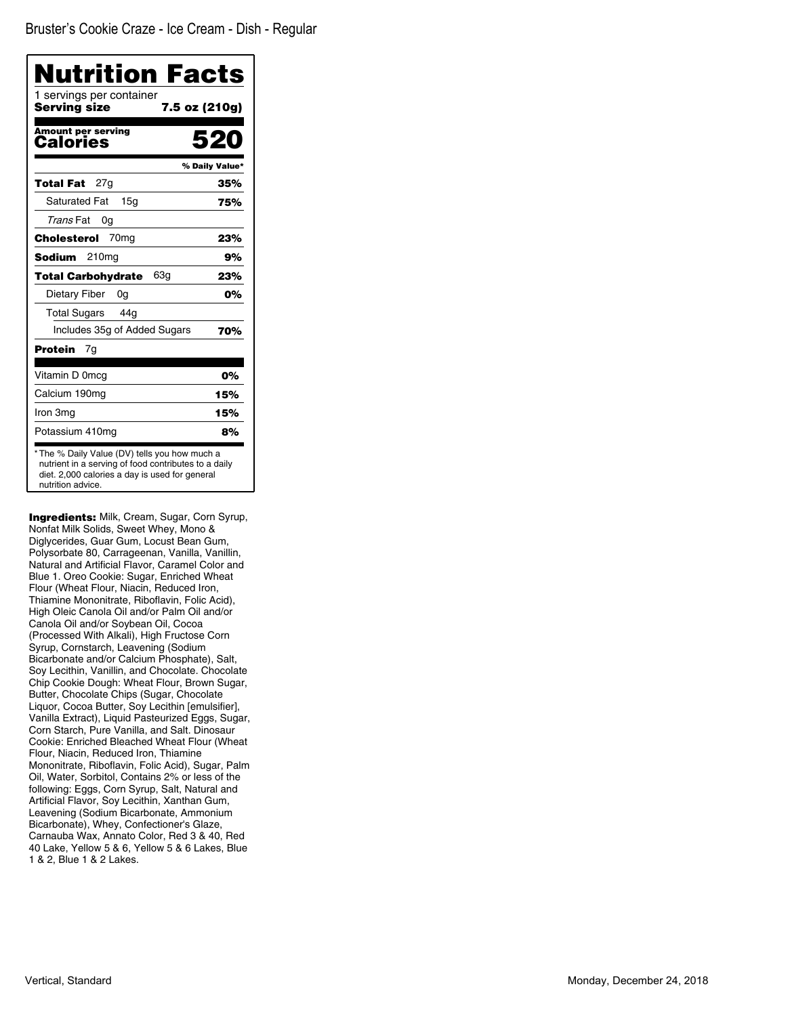| 1 servings per container<br>Servina size | 7.5 oz (210g)  |
|------------------------------------------|----------------|
| <b>Amount per serving</b><br>Calories    | 520            |
|                                          | % Daily Value* |
| 27a<br>Total Fat                         | 35%            |
| <b>Saturated Fat</b><br>15q              | 75%            |
| Trans Fat<br>0g                          |                |
| 70 <sub>mg</sub><br>Cholesterol          | 23%            |
| 210 <sub>mg</sub><br>Sodium              | 9%             |
| 63a<br><b>Total Carbohydrate</b>         | 23%            |
| Dietary Fiber<br>0g                      | 0%             |
| <b>Total Sugars</b><br>44q               |                |
| Includes 35g of Added Sugars             | 70%            |
| Protein<br>7g                            |                |
| Vitamin D 0mcg                           | 0%             |
| Calcium 190mg                            | 15%            |
| Iron 3mg                                 | 15%            |
| Potassium 410mg                          | 8%             |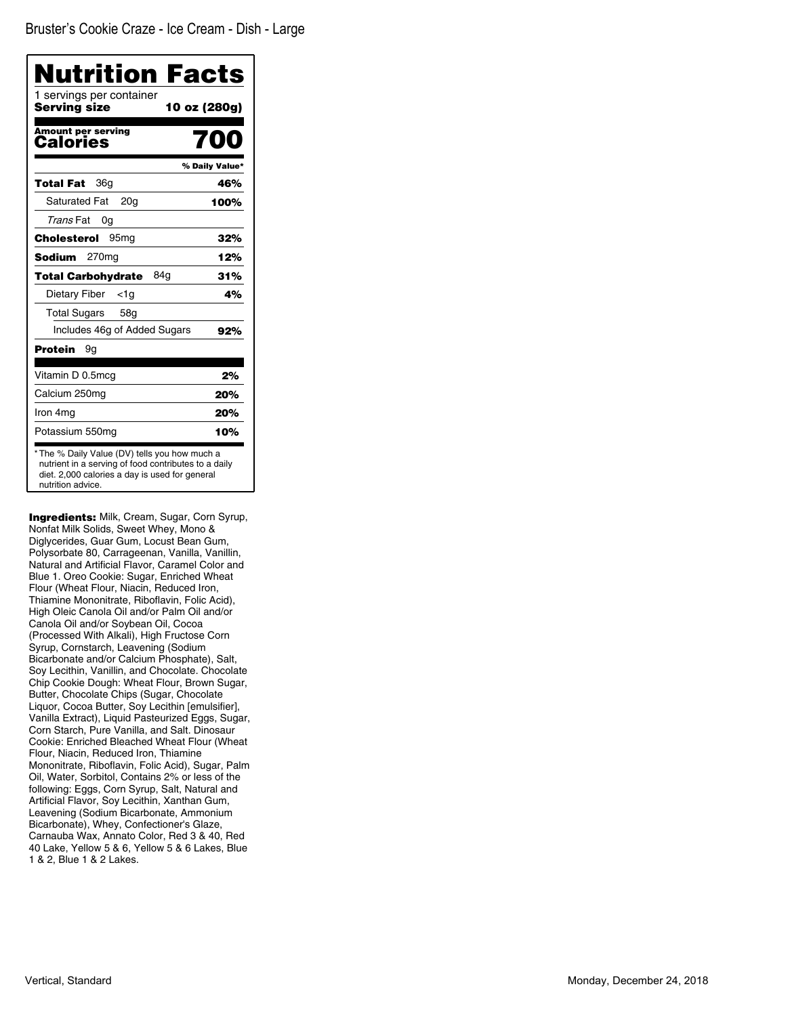| 1 servings per container<br>Serving size | 10 oz (280g)   |
|------------------------------------------|----------------|
| <b>Amount per serving</b><br>Calories    | na             |
|                                          | % Daily Value* |
| 36g<br>Total Fat                         | 46%            |
| <b>Saturated Fat</b><br>20 <sub>g</sub>  | 100%           |
| Trans Fat<br>0g                          |                |
| Cholesterol<br>95 <sub>mq</sub>          | 32%            |
| 270 <sub>mg</sub><br>Sodium              | 12%            |
| 84a<br><b>Total Carbohydrate</b>         | 31%            |
| Dietary Fiber<br><1a                     | 4%             |
| <b>Total Sugars</b><br>58a               |                |
| Includes 46g of Added Sugars             | 92%            |
| Protein<br>9a                            |                |
| Vitamin D 0.5mcg                         | 2%             |
| Calcium 250mg                            | 20%            |
| Iron 4mg                                 | 20%            |
| Potassium 550mg                          | 10%            |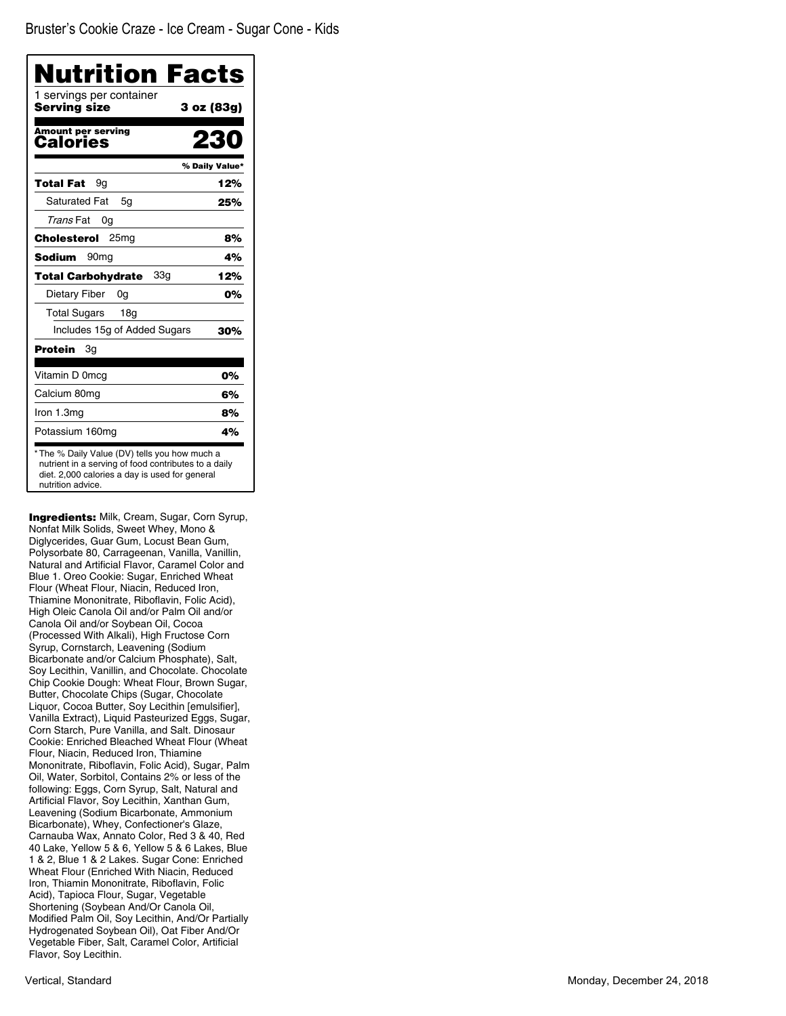| Nutrition Facts<br>1 servings per container<br>Servina size | 3 oz (83g)     |
|-------------------------------------------------------------|----------------|
|                                                             |                |
| <b>Amount per serving</b><br>Calories                       | 230            |
|                                                             | % Daily Value* |
| Total Fat<br>9g                                             | 12%            |
| <b>Saturated Fat</b><br>5g                                  | 25%            |
| Trans Fat<br>0g                                             |                |
| 25 <sub>mg</sub><br>Cholesterol                             | 8%             |
| Sodium<br>90 <sub>mq</sub>                                  | 4%             |
| 33a<br><b>Total Carbohydrate</b>                            | 12%            |
| Dietary Fiber<br>0g                                         | 0%             |
| <b>Total Sugars</b><br>18g                                  |                |
| Includes 15g of Added Sugars                                | 30%            |
| 3g<br>Protein                                               |                |
| Vitamin D 0mcg                                              | 0%             |
| Calcium 80mg                                                | 6%             |
| Iron 1.3mg                                                  | 8%             |
| Potassium 160mg                                             | 4%             |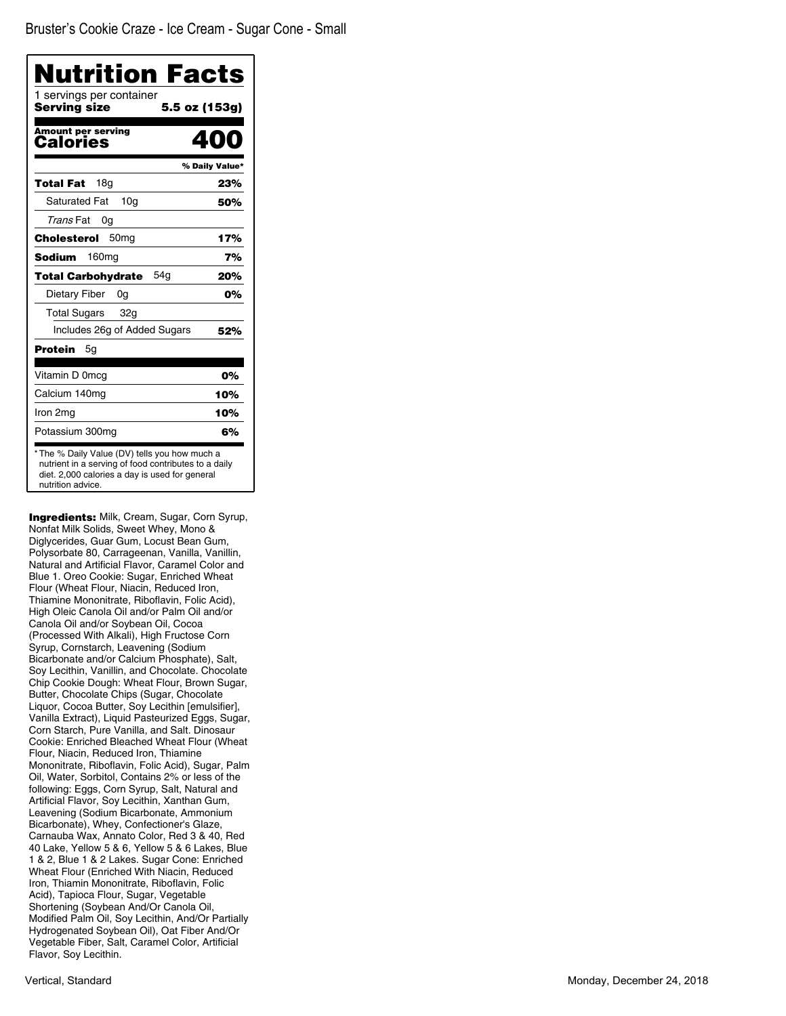| 1 servings per container<br>Servina size | 5.5 oz (153g)  |
|------------------------------------------|----------------|
| <b>Amount per serving</b><br>Calories    |                |
|                                          | % Daily Value* |
| 18a<br>Total Fat                         | 23%            |
| <b>Saturated Fat</b><br>10 <sub>a</sub>  | 50%            |
| Trans Fat<br>0g                          |                |
| 50 <sub>mq</sub><br>Cholesterol          | 17%            |
| 160 <sub>mg</sub><br>Sodium              | 7%             |
| 54a<br><b>Total Carbohydrate</b>         | 20%            |
| Dietary Fiber<br>0g                      | 0%             |
| <b>Total Sugars</b><br>32g               |                |
| Includes 26g of Added Sugars             | 52%            |
| Protein<br>5g                            |                |
| Vitamin D 0mcg                           | 0%             |
| Calcium 140mg                            | 10%            |
| Iron 2mg                                 | 10%            |
| Potassium 300mg                          | 6%             |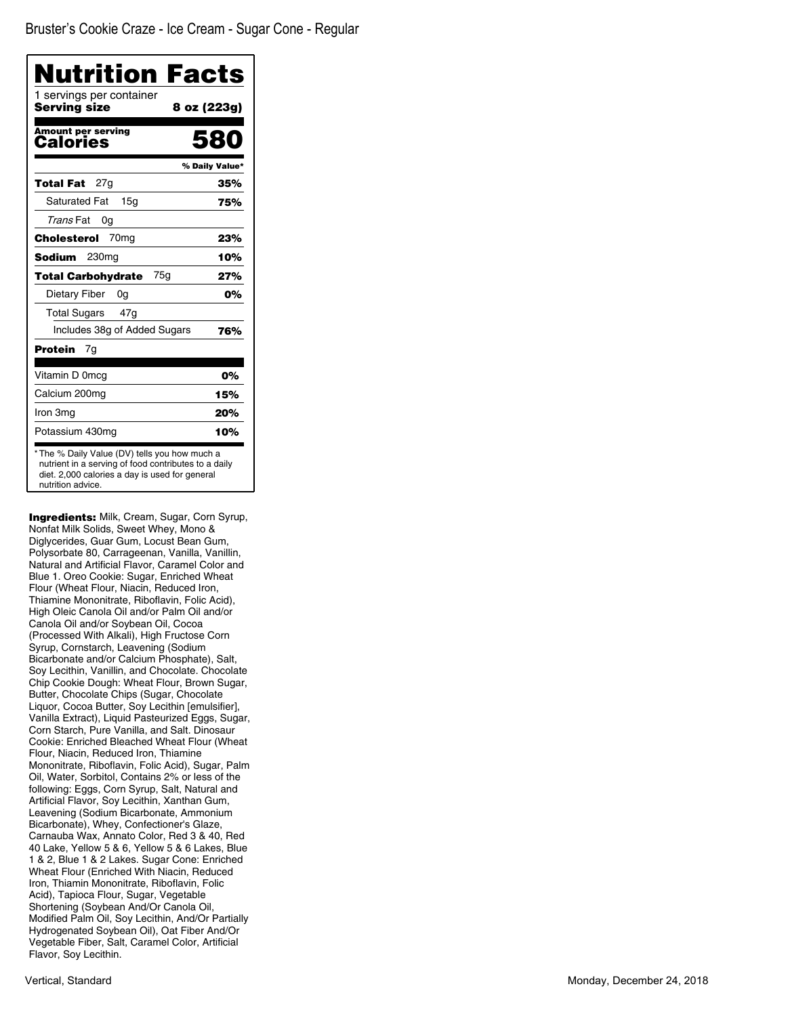| Nutrition Facts<br>1 servings per container |                |
|---------------------------------------------|----------------|
| Servina size                                | 8 oz (223g)    |
| Amount per serving<br>Calories              | 580            |
|                                             | % Daily Value* |
| 27a<br>Total Fat                            | 35%            |
| <b>Saturated Fat</b><br>15 <sub>q</sub>     | 75%            |
| Trans Fat<br>0g                             |                |
| 70 <sub>mg</sub><br>Cholesterol             | 23%            |
| 230 <sub>mg</sub><br>Sodium                 | 10%            |
| 75a<br><b>Total Carbohydrate</b>            | 27%            |
| Dietary Fiber<br>0g                         | 0%             |
| <b>Total Sugars</b><br>47g                  |                |
| Includes 38g of Added Sugars                | 76%            |
| Protein<br>7g                               |                |
| Vitamin D 0mcg                              | 0%             |
| Calcium 200mg                               | 15%            |
| Iron 3mg                                    | 20%            |
| Potassium 430mg                             | 10%            |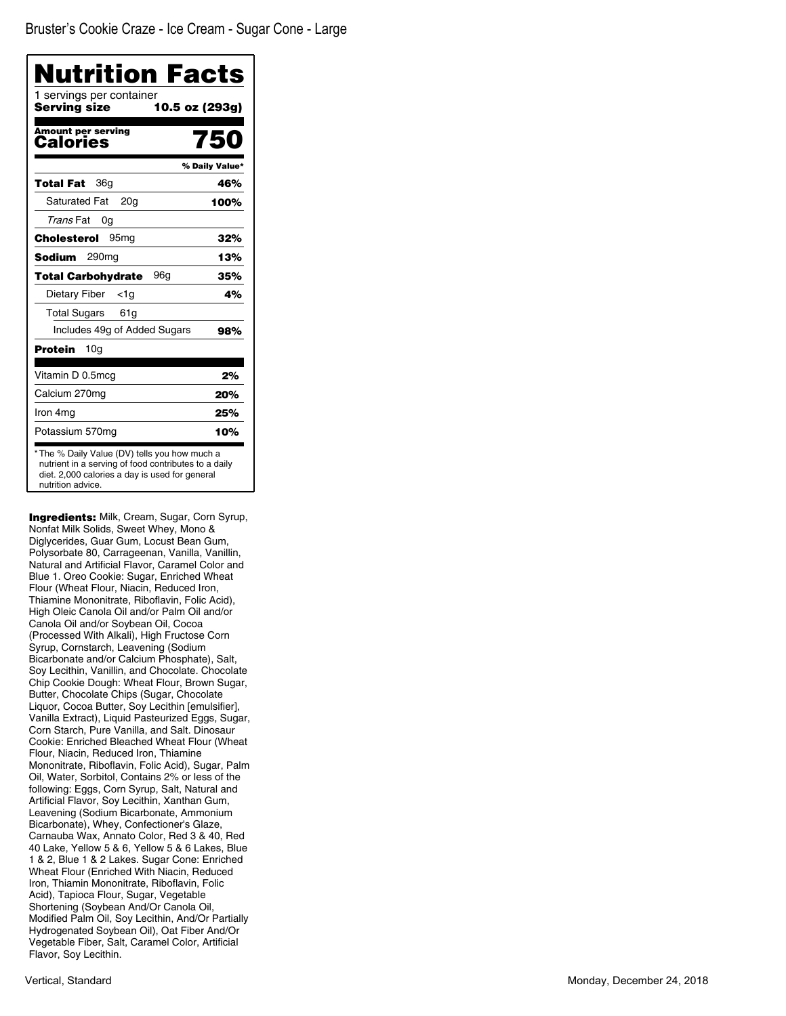| <b>Nutrition Facts</b><br>1 servings per container |                |
|----------------------------------------------------|----------------|
| Servina size                                       | 10.5 oz (293g) |
| Amount per serving<br>Calories                     | 750            |
|                                                    | % Daily Value* |
| 36a<br>Total Fat                                   | 46%            |
| <b>Saturated Fat</b><br>20 <sub>q</sub>            | 100%           |
| Trans Fat<br>0g                                    |                |
| 95 <sub>mg</sub><br>Cholesterol                    | 32%            |
| 290 <sub>mg</sub><br>Sodium                        | 13%            |
| 96a<br><b>Total Carbohydrate</b>                   | 35%            |
| Dietary Fiber <1g                                  | 4%             |
| Total Sugars<br>61g                                |                |
| Includes 49g of Added Sugars                       | 98%            |
| Protein<br>- 10g                                   |                |
| Vitamin D 0.5mcg                                   | 2%             |
| Calcium 270mg                                      | 20%            |
| Iron 4mg                                           | 25%            |
| Potassium 570mg                                    | 10%            |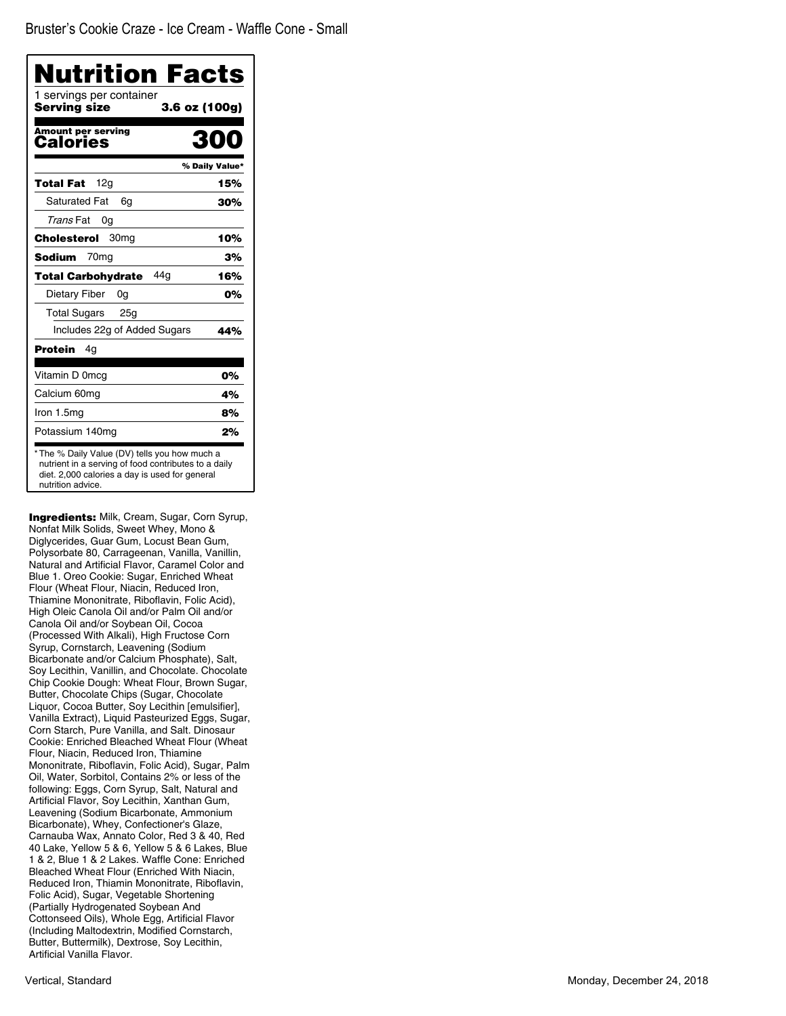| <b>Nutrition Facts</b><br>1 servings per container |                |
|----------------------------------------------------|----------------|
| Serving size                                       | 3.6 oz (100g)  |
| <b>Amount per serving</b><br>Calories              |                |
|                                                    | % Daily Value* |
| 12g<br>Total Fat                                   | 15%            |
| Saturated Fat<br>6q                                | 30%            |
| <i>Trans</i> Fat<br>0g                             |                |
| 30 <sub>mq</sub><br>Cholesterol                    | 10%            |
| Sodium<br>70 <sub>mq</sub>                         | 3%             |
| 44 q<br><b>Total Carbohydrate</b>                  | 16%            |
| Dietary Fiber<br>0g                                | 0%             |
| <b>Total Sugars</b><br>25g                         |                |
| Includes 22g of Added Sugars                       | 44%            |
| <b>Protein</b><br>4g                               |                |
| Vitamin D 0mcg                                     | 0%             |
| Calcium 60mg                                       | 4%             |
| Iron 1.5mg                                         | 8%             |
| Potassium 140mg                                    | 2%             |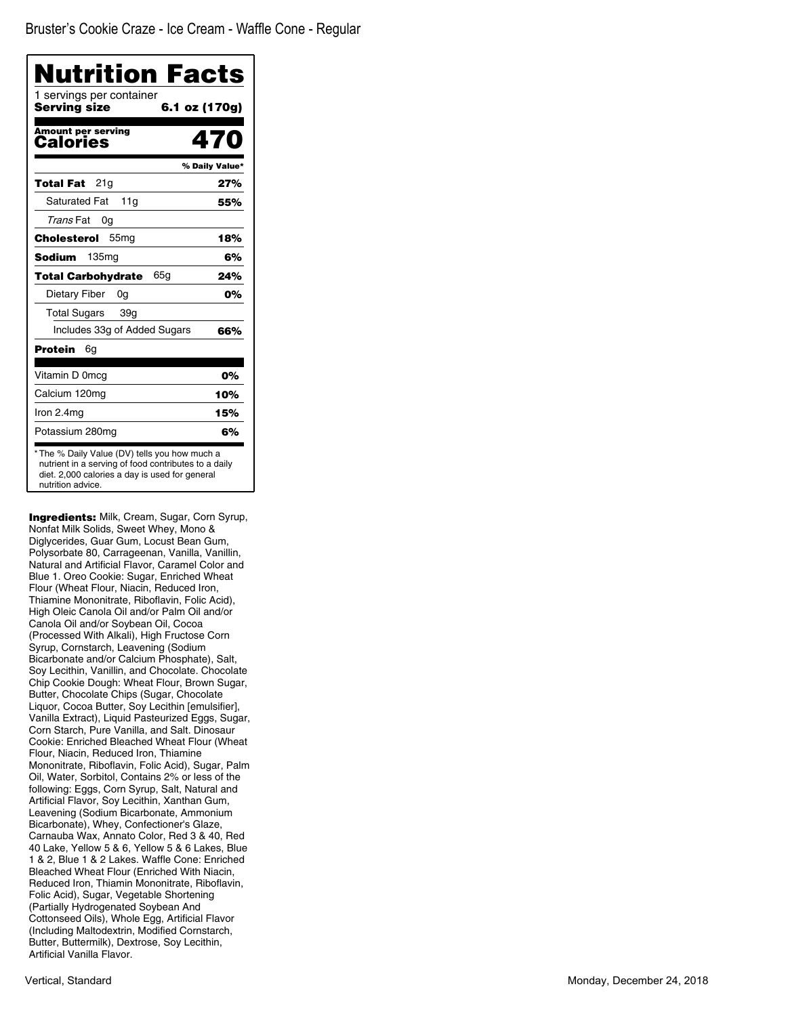Bruster's Cookie Craze - Ice Cream - Waffle Cone - Regular

| <b>Nutrition Facts</b><br>1 servings per container<br>Servina size | 6.1 oz (170g)  |
|--------------------------------------------------------------------|----------------|
| <b>Amount per serving</b><br>Calories                              | 470            |
|                                                                    | % Daily Value* |
| 21g<br>Total Fat                                                   | 27%            |
| <b>Saturated Fat</b><br>11a                                        | 55%            |
| Trans Fat<br>0g                                                    |                |
| Cholesterol<br>55 <sub>mg</sub>                                    | 18%            |
| 135 <sub>mq</sub><br><b>Sodium</b>                                 | 6%             |
| 65a<br>Total Carbohydrate                                          | 24%            |
| Dietary Fiber<br>0g                                                | 0%             |
| <b>Total Sugars</b><br>39g                                         |                |
| Includes 33g of Added Sugars                                       | 66%            |
| Protein<br>6g                                                      |                |
| Vitamin D 0mcg                                                     | 0%             |
| Calcium 120mg                                                      | 10%            |
| Iron 2.4mg                                                         | 15%            |
| Potassium 280mg                                                    | 6%             |